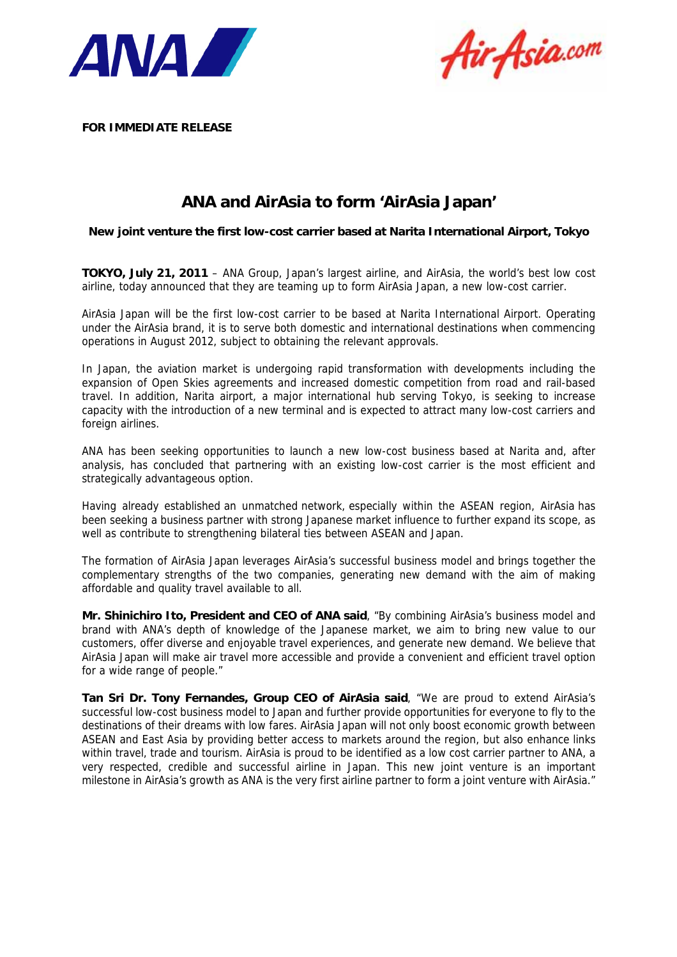



**FOR IMMEDIATE RELEASE** 

# **ANA and AirAsia to form 'AirAsia Japan'**

**New joint venture the first low-cost carrier based at Narita International Airport, Tokyo**

**TOKYO, July 21, 2011** – ANA Group, Japan's largest airline, and AirAsia, the world's best low cost airline, today announced that they are teaming up to form AirAsia Japan, a new low-cost carrier.

AirAsia Japan will be the first low-cost carrier to be based at Narita International Airport. Operating under the AirAsia brand, it is to serve both domestic and international destinations when commencing operations in August 2012, subject to obtaining the relevant approvals.

In Japan, the aviation market is undergoing rapid transformation with developments including the expansion of Open Skies agreements and increased domestic competition from road and rail-based travel. In addition, Narita airport, a major international hub serving Tokyo, is seeking to increase capacity with the introduction of a new terminal and is expected to attract many low-cost carriers and foreign airlines.

ANA has been seeking opportunities to launch a new low-cost business based at Narita and, after analysis, has concluded that partnering with an existing low-cost carrier is the most efficient and strategically advantageous option.

Having already established an unmatched network, especially within the ASEAN region, AirAsia has been seeking a business partner with strong Japanese market influence to further expand its scope, as well as contribute to strengthening bilateral ties between ASEAN and Japan.

The formation of AirAsia Japan leverages AirAsia's successful business model and brings together the complementary strengths of the two companies, generating new demand with the aim of making affordable and quality travel available to all.

**Mr. Shinichiro Ito, President and CEO of ANA said**, "By combining AirAsia's business model and brand with ANA's depth of knowledge of the Japanese market, we aim to bring new value to our customers, offer diverse and enjoyable travel experiences, and generate new demand. We believe that AirAsia Japan will make air travel more accessible and provide a convenient and efficient travel option for a wide range of people."

**Tan Sri Dr. Tony Fernandes, Group CEO of AirAsia said**, "We are proud to extend AirAsia's successful low-cost business model to Japan and further provide opportunities for everyone to fly to the destinations of their dreams with low fares. AirAsia Japan will not only boost economic growth between ASEAN and East Asia by providing better access to markets around the region, but also enhance links within travel, trade and tourism. AirAsia is proud to be identified as a low cost carrier partner to ANA, a very respected, credible and successful airline in Japan. This new joint venture is an important milestone in AirAsia's growth as ANA is the very first airline partner to form a joint venture with AirAsia."